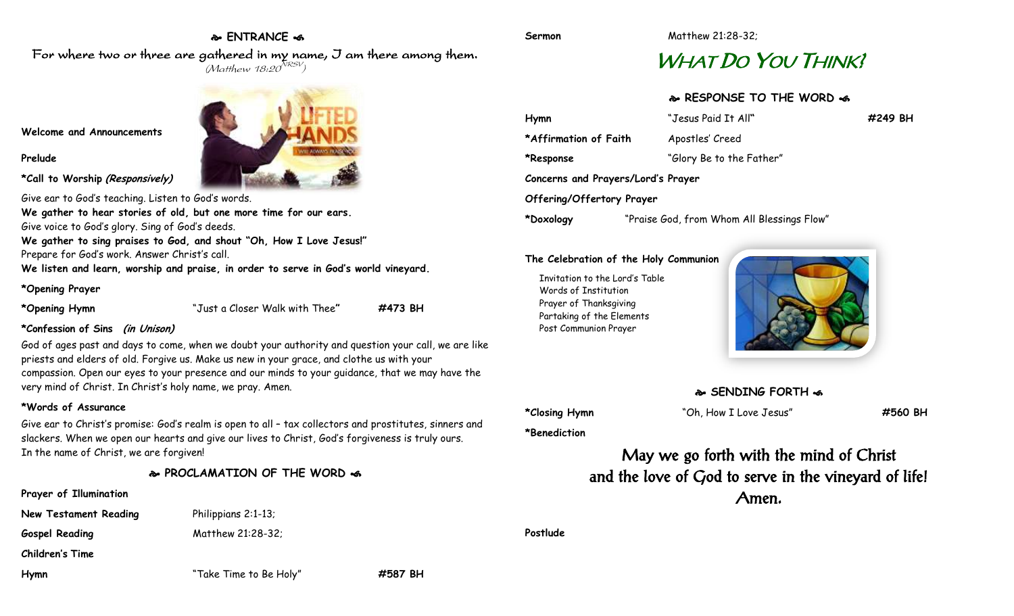# **ENTRANCE**

For where two or three are gathered in my name, I am there among them.  $(M$ atthew 18:20 $^{NRSV})$ 

**Welcome and Announcements**

**Prelude**

**\*Call to Worship (Responsively)**

Give ear to God's teaching. Listen to God's words. **We gather to hear stories of old, but one more time for our ears.** Give voice to God's glory. Sing of God's deeds.

**We gather to sing praises to God, and shout "Oh, How I Love Jesus!"** Prepare for God's work. Answer Christ's call.

**We listen and learn, worship and praise, in order to serve in God's world vineyard.**

## **\*Opening Prayer**

**\*Opening Hymn** "Just a Closer Walk with Thee**" #473 BH**

# **\*Confession of Sins (in Unison)**

God of ages past and days to come, when we doubt your authority and question your call, we are like priests and elders of old. Forgive us. Make us new in your grace, and clothe us with your compassion. Open our eyes to your presence and our minds to your guidance, that we may have the very mind of Christ. In Christ's holy name, we pray. Amen.

# **\*Words of Assurance**

Give ear to Christ's promise: God's realm is open to all – tax collectors and prostitutes, sinners and slackers. When we open our hearts and give our lives to Christ, God's forgiveness is truly ours. In the name of Christ, we are forgiven!

# **PROCLAMATION OF THE WORD**

# **Prayer of Illumination**

Gospel Reading Matthew 21:28-32;

**New Testament Reading Philippians 2:1-13;** 

**Children's Time**

**Hymn** "Take Time to Be Holy" **#587 BH**

**Sermon** Matthew 21:28-32;

# WHAT DO YOU THINK!

# **RESPONSE TO THE WORD**

| Hymn                               | "Jesus Paid It All"                        | #249 BH |
|------------------------------------|--------------------------------------------|---------|
| *Affirmation of Faith              | Apostles' Creed                            |         |
| *Response                          | "Glory Be to the Father"                   |         |
| Concerns and Prayers/Lord's Prayer |                                            |         |
| Offering/Offertory Prayer          |                                            |         |
| *Doxology                          | "Praise God, from Whom All Blessings Flow" |         |

### **The Celebration of the Holy Communion**

Invitation to the Lord's Table Words of Institution Prayer of Thanksgiving Partaking of the Elements Post Communion Prayer



# **SENDING FORTH**  $\clubsuit$

**\*Benediction**

**\*Closing Hymn** "Oh, How I Love Jesus" **#560 BH**

May we go forth with the mind of Christ and the love of God to serve in the vineyard of life! Amen.

**Postlude**